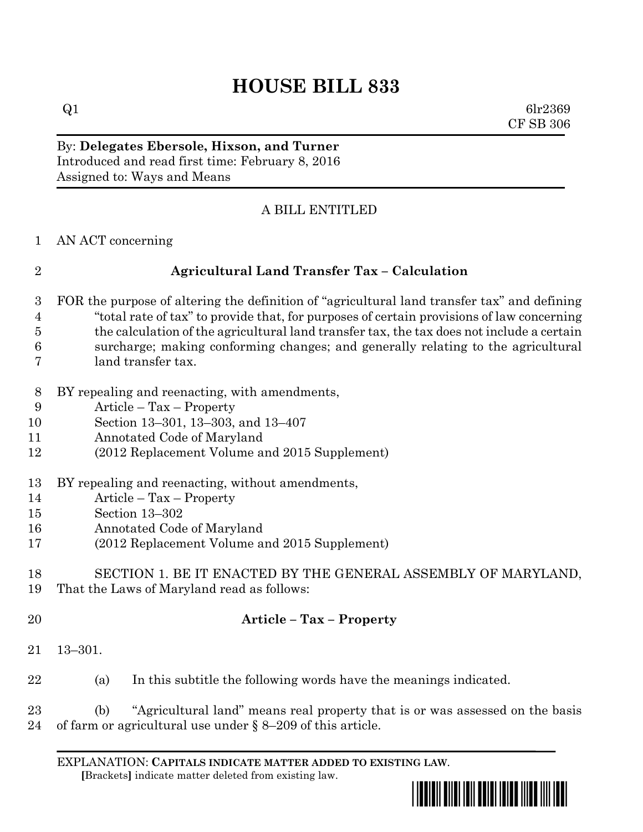# **HOUSE BILL 833**

 $Q1$  6lr2369 CF SB 306

By: **Delegates Ebersole, Hixson, and Turner** Introduced and read first time: February 8, 2016 Assigned to: Ways and Means

# A BILL ENTITLED

AN ACT concerning

# **Agricultural Land Transfer Tax – Calculation**

- FOR the purpose of altering the definition of "agricultural land transfer tax" and defining "total rate of tax" to provide that, for purposes of certain provisions of law concerning the calculation of the agricultural land transfer tax, the tax does not include a certain surcharge; making conforming changes; and generally relating to the agricultural land transfer tax.
- BY repealing and reenacting, with amendments,
- Article Tax Property
- Section 13–301, 13–303, and 13–407
- Annotated Code of Maryland
- (2012 Replacement Volume and 2015 Supplement)
- BY repealing and reenacting, without amendments,
- Article Tax Property
- Section 13–302
- Annotated Code of Maryland
- (2012 Replacement Volume and 2015 Supplement)

#### SECTION 1. BE IT ENACTED BY THE GENERAL ASSEMBLY OF MARYLAND, That the Laws of Maryland read as follows:

# **Article – Tax – Property**

- 13–301.
- (a) In this subtitle the following words have the meanings indicated.
- (b) "Agricultural land" means real property that is or was assessed on the basis of farm or agricultural use under § 8–209 of this article.

EXPLANATION: **CAPITALS INDICATE MATTER ADDED TO EXISTING LAW**.  **[**Brackets**]** indicate matter deleted from existing law.

\*hb0833\*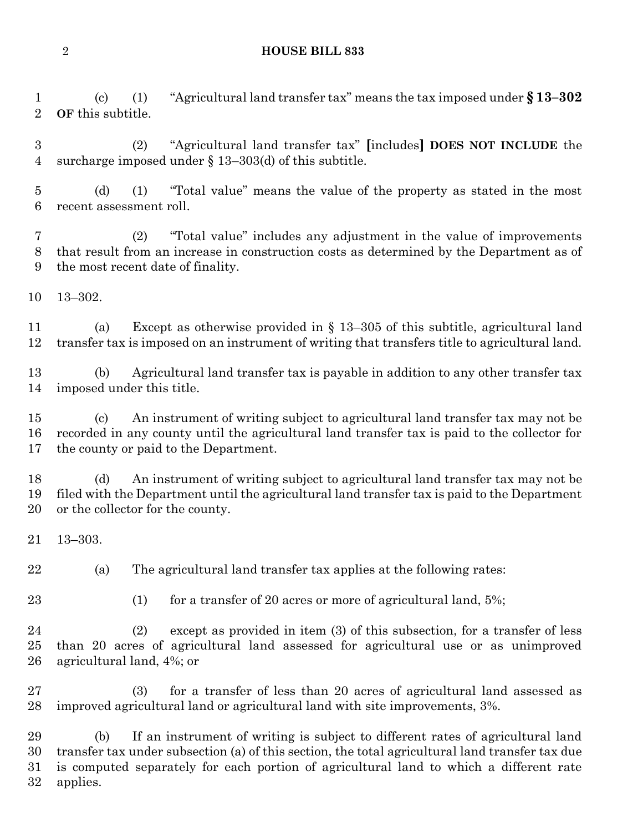#### **HOUSE BILL 833**

 (c) (1) "Agricultural land transfer tax" means the tax imposed under **§ 13–302 OF** this subtitle.

 (2) "Agricultural land transfer tax" **[**includes**] DOES NOT INCLUDE** the surcharge imposed under § 13–303(d) of this subtitle.

 (d) (1) "Total value" means the value of the property as stated in the most recent assessment roll.

 (2) "Total value" includes any adjustment in the value of improvements that result from an increase in construction costs as determined by the Department as of the most recent date of finality.

13–302.

 (a) Except as otherwise provided in § 13–305 of this subtitle, agricultural land transfer tax is imposed on an instrument of writing that transfers title to agricultural land.

 (b) Agricultural land transfer tax is payable in addition to any other transfer tax imposed under this title.

 (c) An instrument of writing subject to agricultural land transfer tax may not be recorded in any county until the agricultural land transfer tax is paid to the collector for the county or paid to the Department.

 (d) An instrument of writing subject to agricultural land transfer tax may not be filed with the Department until the agricultural land transfer tax is paid to the Department or the collector for the county.

13–303.

(a) The agricultural land transfer tax applies at the following rates:

23 (1) for a transfer of 20 acres or more of agricultural land, 5%;

 (2) except as provided in item (3) of this subsection, for a transfer of less than 20 acres of agricultural land assessed for agricultural use or as unimproved agricultural land, 4%; or

 (3) for a transfer of less than 20 acres of agricultural land assessed as improved agricultural land or agricultural land with site improvements, 3%.

 (b) If an instrument of writing is subject to different rates of agricultural land transfer tax under subsection (a) of this section, the total agricultural land transfer tax due is computed separately for each portion of agricultural land to which a different rate applies.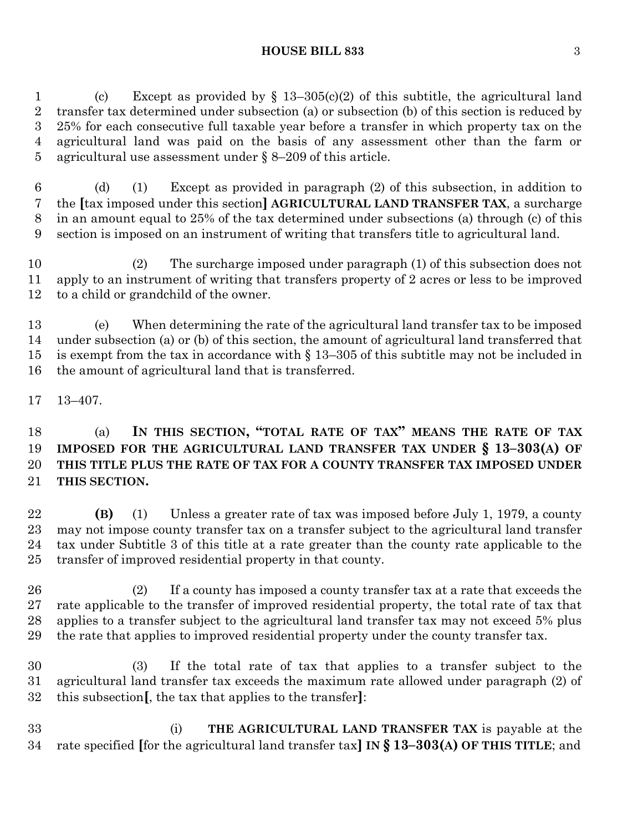(c) Except as provided by § 13–305(c)(2) of this subtitle, the agricultural land transfer tax determined under subsection (a) or subsection (b) of this section is reduced by 25% for each consecutive full taxable year before a transfer in which property tax on the agricultural land was paid on the basis of any assessment other than the farm or agricultural use assessment under § 8–209 of this article.

 (d) (1) Except as provided in paragraph (2) of this subsection, in addition to the **[**tax imposed under this section**] AGRICULTURAL LAND TRANSFER TAX**, a surcharge in an amount equal to 25% of the tax determined under subsections (a) through (c) of this section is imposed on an instrument of writing that transfers title to agricultural land.

 (2) The surcharge imposed under paragraph (1) of this subsection does not apply to an instrument of writing that transfers property of 2 acres or less to be improved to a child or grandchild of the owner.

 (e) When determining the rate of the agricultural land transfer tax to be imposed under subsection (a) or (b) of this section, the amount of agricultural land transferred that is exempt from the tax in accordance with § 13–305 of this subtitle may not be included in the amount of agricultural land that is transferred.

13–407.

 (a) **IN THIS SECTION, "TOTAL RATE OF TAX" MEANS THE RATE OF TAX IMPOSED FOR THE AGRICULTURAL LAND TRANSFER TAX UNDER § 13–303(A) OF THIS TITLE PLUS THE RATE OF TAX FOR A COUNTY TRANSFER TAX IMPOSED UNDER THIS SECTION.**

 **(B)** (1) Unless a greater rate of tax was imposed before July 1, 1979, a county may not impose county transfer tax on a transfer subject to the agricultural land transfer tax under Subtitle 3 of this title at a rate greater than the county rate applicable to the transfer of improved residential property in that county.

 (2) If a county has imposed a county transfer tax at a rate that exceeds the rate applicable to the transfer of improved residential property, the total rate of tax that applies to a transfer subject to the agricultural land transfer tax may not exceed 5% plus the rate that applies to improved residential property under the county transfer tax.

 (3) If the total rate of tax that applies to a transfer subject to the agricultural land transfer tax exceeds the maximum rate allowed under paragraph (2) of this subsection**[**, the tax that applies to the transfer**]**:

 (i) **THE AGRICULTURAL LAND TRANSFER TAX** is payable at the rate specified **[**for the agricultural land transfer tax**] IN § 13–303(A) OF THIS TITLE**; and